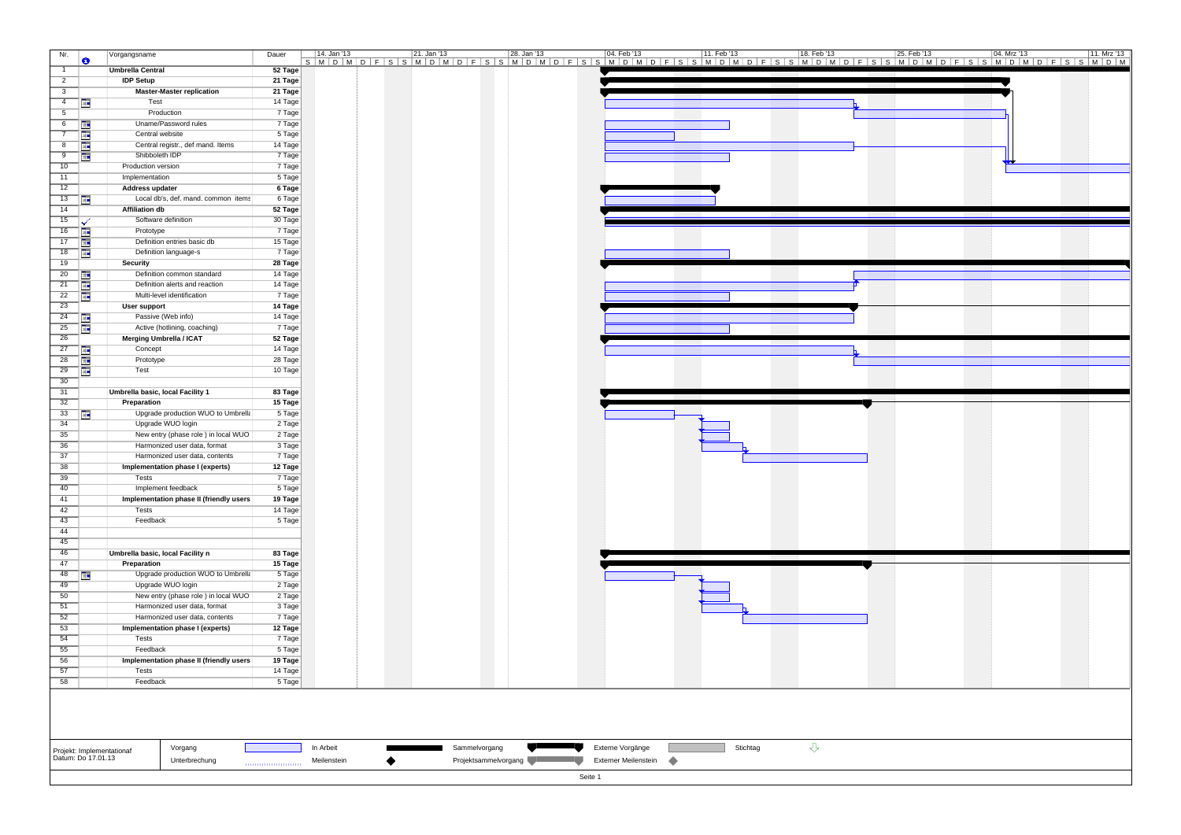| Nr.                                                                                                          | $\bullet$  | Vorgangsname                            | Dauer   | 14. Jan '13<br>S   M   D   M   D   F   S   S   M   D   M   D   F   S   S   M   D   M   M   M   D   F   S   S   M   D   M   D   F   S   S   M   D   M   D   F   S   S   M   D   M   D   F   S   S   M   D   M   D   F   S   S   M   D   M | 21. Jan '13 | 28. Jan '13 | 04. Feb '13 | 11. Feb '13 |  | 18. Feb '13 | 25. Feb '13 | 04. Mrz '13 | 11. Mrz '13 |  |
|--------------------------------------------------------------------------------------------------------------|------------|-----------------------------------------|---------|------------------------------------------------------------------------------------------------------------------------------------------------------------------------------------------------------------------------------------------|-------------|-------------|-------------|-------------|--|-------------|-------------|-------------|-------------|--|
| $\overline{1}$                                                                                               |            | <b>Umbrella Central</b>                 | 52 Tage |                                                                                                                                                                                                                                          |             |             |             |             |  |             |             |             |             |  |
| $\overline{2}$                                                                                               |            | <b>IDP Setup</b>                        | 21 Tage |                                                                                                                                                                                                                                          |             |             |             |             |  |             |             |             |             |  |
| $\overline{\mathbf{3}}$                                                                                      |            | <b>Master-Master replication</b>        | 21 Tage |                                                                                                                                                                                                                                          |             |             |             |             |  |             |             |             |             |  |
| $\overline{4}$                                                                                               | Œ          | Test                                    | 14 Tage |                                                                                                                                                                                                                                          |             |             |             |             |  |             |             |             |             |  |
| $\overline{5}$                                                                                               |            | Production                              | 7 Tage  |                                                                                                                                                                                                                                          |             |             |             |             |  |             |             |             |             |  |
| 6                                                                                                            | IШ         | Uname/Password rules                    | 7 Tage  |                                                                                                                                                                                                                                          |             |             |             |             |  |             |             |             |             |  |
| $\overline{7}$                                                                                               | <b>ITE</b> | Central website                         | 5 Tage  |                                                                                                                                                                                                                                          |             |             |             |             |  |             |             |             |             |  |
| 8                                                                                                            | Œ          | Central registr., def mand. Items       | 14 Tage |                                                                                                                                                                                                                                          |             |             |             |             |  |             |             |             |             |  |
| 9                                                                                                            | <b>THE</b> | Shibboleth IDP                          | 7 Tage  |                                                                                                                                                                                                                                          |             |             |             |             |  |             |             |             |             |  |
| 10                                                                                                           |            | Production version                      | 7 Tage  |                                                                                                                                                                                                                                          |             |             |             |             |  |             |             |             |             |  |
| 11                                                                                                           |            | Implementation                          | 5 Tage  |                                                                                                                                                                                                                                          |             |             |             |             |  |             |             |             |             |  |
| 12                                                                                                           |            | Address updater                         | 6 Tage  |                                                                                                                                                                                                                                          |             |             |             |             |  |             |             |             |             |  |
| 13                                                                                                           | <b>IF</b>  | Local db's, def. mand. common items     | 6 Tage  |                                                                                                                                                                                                                                          |             |             |             |             |  |             |             |             |             |  |
| 14                                                                                                           |            | <b>Affiliation db</b>                   | 52 Tage |                                                                                                                                                                                                                                          |             |             |             |             |  |             |             |             |             |  |
| 15                                                                                                           |            | Software definition                     | 30 Tage |                                                                                                                                                                                                                                          |             |             |             |             |  |             |             |             |             |  |
| 16                                                                                                           | Œ          | Prototype                               | 7 Tage  |                                                                                                                                                                                                                                          |             |             |             |             |  |             |             |             |             |  |
| $\overline{17}$                                                                                              | Œ          | Definition entries basic db             | 15 Tage |                                                                                                                                                                                                                                          |             |             |             |             |  |             |             |             |             |  |
| 18                                                                                                           | T.         | Definition language-s                   | 7 Tage  |                                                                                                                                                                                                                                          |             |             |             |             |  |             |             |             |             |  |
| 19                                                                                                           |            | Security                                | 28 Tage |                                                                                                                                                                                                                                          |             |             |             |             |  |             |             |             |             |  |
| 20                                                                                                           | Œ          | Definition common standard              | 14 Tage |                                                                                                                                                                                                                                          |             |             |             |             |  |             |             |             |             |  |
| 21                                                                                                           | Œ          | Definition alerts and reaction          | 14 Tage |                                                                                                                                                                                                                                          |             |             |             |             |  |             |             |             |             |  |
| 22                                                                                                           | Œ          | Multi-level identification              | 7 Tage  |                                                                                                                                                                                                                                          |             |             |             |             |  |             |             |             |             |  |
| 23                                                                                                           |            | User support                            | 14 Tage |                                                                                                                                                                                                                                          |             |             |             |             |  |             |             |             |             |  |
| 24                                                                                                           | Œ          | Passive (Web info)                      | 14 Tage |                                                                                                                                                                                                                                          |             |             |             |             |  |             |             |             |             |  |
| 25                                                                                                           | 医胃         | Active (hotlining, coaching)            | 7 Tage  |                                                                                                                                                                                                                                          |             |             |             |             |  |             |             |             |             |  |
| $\overline{26}$                                                                                              |            | Merging Umbrella / ICAT                 | 52 Tage |                                                                                                                                                                                                                                          |             |             |             |             |  |             |             |             |             |  |
| 27                                                                                                           | Ŧ          | Concept                                 | 14 Tage |                                                                                                                                                                                                                                          |             |             |             |             |  |             |             |             |             |  |
| $\overline{28}$                                                                                              | Œ          | Prototype                               | 28 Tage |                                                                                                                                                                                                                                          |             |             |             |             |  |             |             |             |             |  |
| $\overline{29}$                                                                                              | T.         | Test                                    | 10 Tage |                                                                                                                                                                                                                                          |             |             |             |             |  |             |             |             |             |  |
| 30                                                                                                           |            |                                         |         |                                                                                                                                                                                                                                          |             |             |             |             |  |             |             |             |             |  |
| 31                                                                                                           |            | Umbrella basic, local Facility 1        | 83 Tage |                                                                                                                                                                                                                                          |             |             |             |             |  |             |             |             |             |  |
| 32                                                                                                           |            | Preparation                             | 15 Tage |                                                                                                                                                                                                                                          |             |             |             |             |  |             |             |             |             |  |
| 33                                                                                                           | m          | Upgrade production WUO to Umbrella      | 5 Tage  |                                                                                                                                                                                                                                          |             |             |             |             |  |             |             |             |             |  |
| 34                                                                                                           |            | Upgrade WUO login                       | 2 Tage  |                                                                                                                                                                                                                                          |             |             |             |             |  |             |             |             |             |  |
| $\overline{35}$                                                                                              |            | New entry (phase role) in local WUO     | 2 Tage  |                                                                                                                                                                                                                                          |             |             |             |             |  |             |             |             |             |  |
| 36                                                                                                           |            | Harmonized user data, format            | 3 Tage  |                                                                                                                                                                                                                                          |             |             |             |             |  |             |             |             |             |  |
| $\overline{37}$                                                                                              |            | Harmonized user data, contents          | 7 Tage  |                                                                                                                                                                                                                                          |             |             |             |             |  |             |             |             |             |  |
| 38                                                                                                           |            | Implementation phase I (experts)        | 12 Tage |                                                                                                                                                                                                                                          |             |             |             |             |  |             |             |             |             |  |
| 39                                                                                                           |            | Tests                                   | 7 Tage  |                                                                                                                                                                                                                                          |             |             |             |             |  |             |             |             |             |  |
| 40                                                                                                           |            | Implement feedback                      | 5 Tage  |                                                                                                                                                                                                                                          |             |             |             |             |  |             |             |             |             |  |
| 41<br>42                                                                                                     |            | Implementation phase II (friendly users | 19 Tage |                                                                                                                                                                                                                                          |             |             |             |             |  |             |             |             |             |  |
|                                                                                                              |            | Tests                                   | 14 Tage |                                                                                                                                                                                                                                          |             |             |             |             |  |             |             |             |             |  |
| 43<br>44                                                                                                     |            | Feedback                                | 5 Tage  |                                                                                                                                                                                                                                          |             |             |             |             |  |             |             |             |             |  |
| 45                                                                                                           |            |                                         |         |                                                                                                                                                                                                                                          |             |             |             |             |  |             |             |             |             |  |
| 46                                                                                                           |            | Umbrella basic, local Facility n        | 83 Tage |                                                                                                                                                                                                                                          |             |             |             |             |  |             |             |             |             |  |
| 47                                                                                                           |            | Preparation                             | 15 Tage |                                                                                                                                                                                                                                          |             |             |             |             |  |             |             |             |             |  |
| 48                                                                                                           | Œ          | Upgrade production WUO to Umbrella      | 5 Tage  |                                                                                                                                                                                                                                          |             |             |             |             |  |             |             |             |             |  |
| 49                                                                                                           |            | Upgrade WUO login                       | 2 Tage  |                                                                                                                                                                                                                                          |             |             |             |             |  |             |             |             |             |  |
| 50                                                                                                           |            | New entry (phase role) in local WUO     | 2 Tage  |                                                                                                                                                                                                                                          |             |             |             |             |  |             |             |             |             |  |
| 51                                                                                                           |            | Harmonized user data, format            | 3 Tage  |                                                                                                                                                                                                                                          |             |             |             |             |  |             |             |             |             |  |
| 52                                                                                                           |            | Harmonized user data, contents          | 7 Tage  |                                                                                                                                                                                                                                          |             |             |             |             |  |             |             |             |             |  |
| 53                                                                                                           |            | Implementation phase I (experts)        | 12 Tage |                                                                                                                                                                                                                                          |             |             |             |             |  |             |             |             |             |  |
| 54                                                                                                           |            | Tests                                   | 7 Tage  |                                                                                                                                                                                                                                          |             |             |             |             |  |             |             |             |             |  |
| 55                                                                                                           |            | Feedback                                | 5 Tage  |                                                                                                                                                                                                                                          |             |             |             |             |  |             |             |             |             |  |
| 56                                                                                                           |            | Implementation phase II (friendly users | 19 Tage |                                                                                                                                                                                                                                          |             |             |             |             |  |             |             |             |             |  |
| 57                                                                                                           |            | Tests                                   | 14 Tage |                                                                                                                                                                                                                                          |             |             |             |             |  |             |             |             |             |  |
| 58                                                                                                           |            | Feedback                                |         |                                                                                                                                                                                                                                          |             |             |             |             |  |             |             |             |             |  |
| 5 Tage                                                                                                       |            |                                         |         |                                                                                                                                                                                                                                          |             |             |             |             |  |             |             |             |             |  |
| ⇩<br>Externe Vorgänge<br>Stichtag<br>Vorgang<br>In Arbeit<br>Sammelvorgang<br>Projekt: Implementationaf      |            |                                         |         |                                                                                                                                                                                                                                          |             |             |             |             |  |             |             |             |             |  |
| Datum: Do 17.01.13<br>Projektsammelvorgang<br>Externer Meilenstein<br>۰<br>Unterbrechung<br>Meilenstein<br>٠ |            |                                         |         |                                                                                                                                                                                                                                          |             |             |             |             |  |             |             |             |             |  |
|                                                                                                              |            |                                         |         |                                                                                                                                                                                                                                          |             | Seite 1     |             |             |  |             |             |             |             |  |